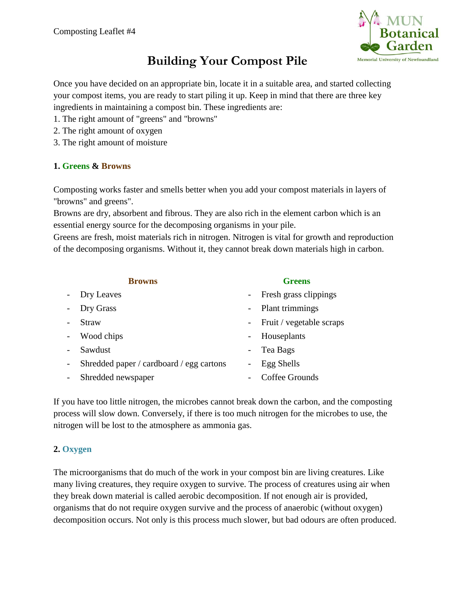

## **Building Your Compost Pile**

Once you have decided on an appropriate bin, locate it in a suitable area, and started collecting your compost items, you are ready to start piling it up. Keep in mind that there are three key ingredients in maintaining a compost bin. These ingredients are:

- 1. The right amount of "greens" and "browns"
- 2. The right amount of oxygen
- 3. The right amount of moisture

## **1. Greens & Browns**

Composting works faster and smells better when you add your compost materials in layers of "browns" and greens".

Browns are dry, absorbent and fibrous. They are also rich in the element carbon which is an essential energy source for the decomposing organisms in your pile.

Greens are fresh, moist materials rich in nitrogen. Nitrogen is vital for growth and reproduction of the decomposing organisms. Without it, they cannot break down materials high in carbon.

|            | <b>Browns</b>                            | <b>Greens</b>            |
|------------|------------------------------------------|--------------------------|
| $\sim$ $-$ | Dry Leaves                               | - Fresh grass clippings  |
| $\equiv$   | Dry Grass                                | - Plant trimmings        |
|            | <b>Straw</b>                             | Fruit / vegetable scraps |
| $\sim$     | Wood chips                               | Houseplants              |
|            | Sawdust                                  | Tea Bags                 |
| $\sim$ $-$ | Shredded paper / cardboard / egg cartons | Egg Shells               |
|            | Shredded newspaper                       | Coffee Grounds           |
|            |                                          |                          |

If you have too little nitrogen, the microbes cannot break down the carbon, and the composting process will slow down. Conversely, if there is too much nitrogen for the microbes to use, the nitrogen will be lost to the atmosphere as ammonia gas.

## **2. Oxygen**

The microorganisms that do much of the work in your compost bin are living creatures. Like many living creatures, they require oxygen to survive. The process of creatures using air when they break down material is called aerobic decomposition. If not enough air is provided, organisms that do not require oxygen survive and the process of anaerobic (without oxygen) decomposition occurs. Not only is this process much slower, but bad odours are often produced.